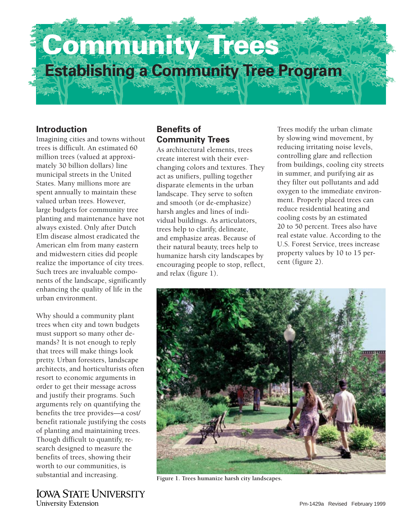

### **Introduction**

Imagining cities and towns without trees is difficult. An estimated 60 million trees (valued at approximately 30 billion dollars) line municipal streets in the United States. Many millions more are spent annually to maintain these valued urban trees. However, large budgets for community tree planting and maintenance have not always existed. Only after Dutch Elm disease almost eradicated the American elm from many eastern and midwestern cities did people realize the importance of city trees. Such trees are invaluable components of the landscape, significantly enhancing the quality of life in the urban environment.

Why should a community plant trees when city and town budgets must support so many other demands? It is not enough to reply that trees will make things look pretty. Urban foresters, landscape architects, and horticulturists often resort to economic arguments in order to get their message across and justify their programs. Such arguments rely on quantifying the benefits the tree provides—a cost/ benefit rationale justifying the costs of planting and maintaining trees. Though difficult to quantify, research designed to measure the benefits of trees, showing their worth to our communities, is substantial and increasing.

**IOWA STATE UNIVERSITY University Extension** 

# **Benefits of Community Trees**

As architectural elements, trees create interest with their everchanging colors and textures. They act as unifiers, pulling together disparate elements in the urban landscape. They serve to soften and smooth (or de-emphasize) harsh angles and lines of individual buildings. As articulators, trees help to clarify, delineate, and emphasize areas. Because of their natural beauty, trees help to humanize harsh city landscapes by encouraging people to stop, reflect, and relax (figure 1).

Trees modify the urban climate by slowing wind movement, by reducing irritating noise levels, controlling glare and reflection from buildings, cooling city streets in summer, and purifying air as they filter out pollutants and add oxygen to the immediate environment. Properly placed trees can reduce residential heating and cooling costs by an estimated 20 to 50 percent. Trees also have real estate value. According to the U.S. Forest Service, trees increase property values by 10 to 15 percent (figure 2).



**Figure 1. Trees humanize harsh city landscapes.**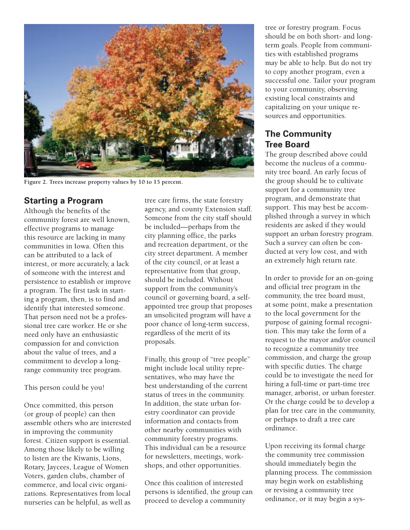

**Figure 2. Trees increase property values by 10 to 15 percent.**

### **Starting a Program**

Although the benefits of the community forest are well known, effective programs to manage this resource are lacking in many communities in Iowa. Often this can be attributed to a lack of interest, or more accurately, a lack of someone with the interest and persistence to establish or improve a program. The first task in starting a program, then, is to find and identify that interested someone. That person need not be a professional tree care worker. He or she need only have an enthusiastic compassion for and conviction about the value of trees, and a commitment to develop a longrange community tree program.

#### This person could be you!

Once committed, this person (or group of people) can then assemble others who are interested in improving the community forest. Citizen support is essential. Among those likely to be willing to listen are the Kiwanis, Lions, Rotary, Jaycees, League of Women Voters, garden clubs, chamber of commerce, and local civic organizations. Representatives from local nurseries can be helpful, as well as

tree care firms, the state forestry agency, and county Extension staff. Someone from the city staff should be included—perhaps from the city planning office, the parks and recreation department, or the city street department. A member of the city council, or at least a representative from that group, should be included. Without support from the community's council or governing board, a selfappointed tree group that proposes an unsolicited program will have a poor chance of long-term success, regardless of the merit of its proposals.

Finally, this group of "tree people" might include local utility representatives, who may have the best understanding of the current status of trees in the community. In addition, the state urban forestry coordinator can provide information and contacts from other nearby communities with community forestry programs. This individual can be a resource for newsletters, meetings, workshops, and other opportunities.

Once this coalition of interested persons is identified, the group can proceed to develop a community

tree or forestry program. Focus should be on both short- and longterm goals. People from communities with established programs may be able to help. But do not try to copy another program, even a successful one. Tailor your program to your community, observing existing local constraints and capitalizing on your unique resources and opportunities.

### **The Community Tree Board**

The group described above could become the nucleus of a community tree board. An early focus of the group should be to cultivate support for a community tree program, and demonstrate that support. This may best be accomplished through a survey in which residents are asked if they would support an urban forestry program. Such a survey can often be conducted at very low cost, and with an extremely high return rate.

In order to provide for an on-going and official tree program in the community, the tree board must, at some point, make a presentation to the local government for the purpose of gaining formal recognition. This may take the form of a request to the mayor and/or council to recognize a community tree commission, and charge the group with specific duties. The charge could be to investigate the need for hiring a full-time or part-time tree manager, arborist, or urban forester. Or the charge could be to develop a plan for tree care in the community, or perhaps to draft a tree care ordinance.

Upon receiving its formal charge the community tree commission should immediately begin the planning process. The commission may begin work on establishing or revising a community tree ordinance, or it may begin a sys-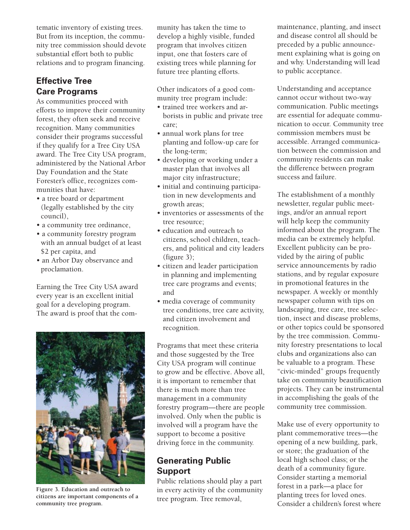tematic inventory of existing trees. But from its inception, the community tree commission should devote substantial effort both to public relations and to program financing.

### **Effective Tree Care Programs**

As communities proceed with efforts to improve their community forest, they often seek and receive recognition. Many communities consider their programs successful if they qualify for a Tree City USA award. The Tree City USA program, administered by the National Arbor Day Foundation and the State Forester's office, recognizes communities that have:

- a tree board or department (legally established by the city council),
- a community tree ordinance,
- a community forestry program with an annual budget of at least \$2 per capita, and
- an Arbor Day observance and proclamation.

Earning the Tree City USA award every year is an excellent initial goal for a developing program. The award is proof that the com-



**Figure 3. Education and outreach to citizens are important components of a community tree program.**

munity has taken the time to develop a highly visible, funded program that involves citizen input, one that fosters care of existing trees while planning for future tree planting efforts.

Other indicators of a good community tree program include:

- trained tree workers and arborists in public and private tree care;
- annual work plans for tree planting and follow-up care for the long-term;
- developing or working under a master plan that involves all major city infrastructure;
- initial and continuing participation in new developments and growth areas;
- inventories or assessments of the tree resource;
- education and outreach to citizens, school children, teachers, and political and city leaders (figure 3);
- citizen and leader participation in planning and implementing tree care programs and events; and
- media coverage of community tree conditions, tree care activity, and citizen involvement and recognition.

Programs that meet these criteria and those suggested by the Tree City USA program will continue to grow and be effective. Above all, it is important to remember that there is much more than tree management in a community forestry program—there are people involved. Only when the public is involved will a program have the support to become a positive driving force in the community.

## **Generating Public Support**

Public relations should play a part in every activity of the community tree program. Tree removal,

maintenance, planting, and insect and disease control all should be preceded by a public announcement explaining what is going on and why. Understanding will lead to public acceptance.

Understanding and acceptance cannot occur without two-way communication. Public meetings are essential for adequate communication to occur. Community tree commission members must be accessible. Arranged communication between the commission and community residents can make the difference between program success and failure.

The establishment of a monthly newsletter, regular public meetings, and/or an annual report will help keep the community informed about the program. The media can be extremely helpful. Excellent publicity can be provided by the airing of public service announcements by radio stations, and by regular exposure in promotional features in the newspaper. A weekly or monthly newspaper column with tips on landscaping, tree care, tree selection, insect and disease problems, or other topics could be sponsored by the tree commission. Community forestry presentations to local clubs and organizations also can be valuable to a program. These "civic-minded" groups frequently take on community beautification projects. They can be instrumental in accomplishing the goals of the community tree commission.

Make use of every opportunity to plant commemorative trees—the opening of a new building, park, or store; the graduation of the local high school class; or the death of a community figure. Consider starting a memorial forest in a park—a place for planting trees for loved ones. Consider a children's forest where